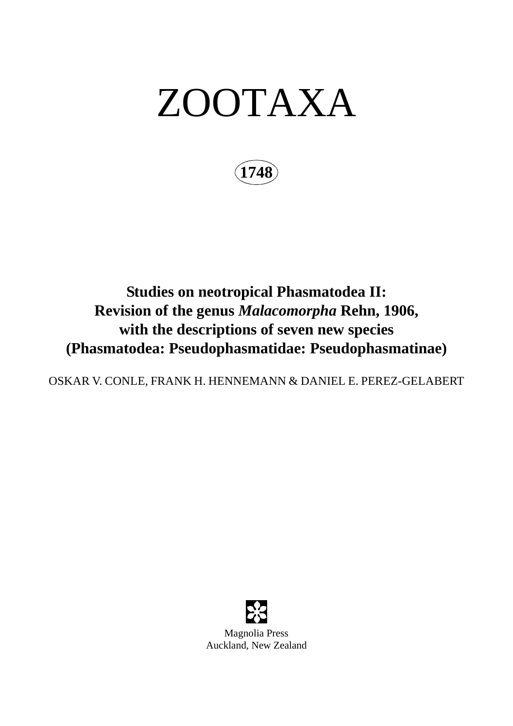# ZOOTAXA

**1748**

## **Studies on neotropical Phasmatodea II: Revision of the genus** *Malacomorpha* **Rehn, 1906, with the descriptions of seven new species (Phasmatodea: Pseudophasmatidae: Pseudophasmatinae)**

OSKAR V. CONLE, FRANK H. HENNEMANN & DANIEL E. PEREZ-GELABERT

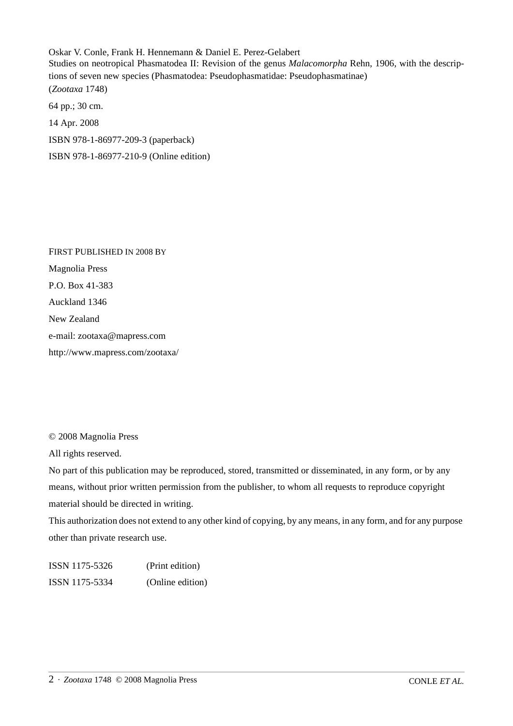Oskar V. Conle, Frank H. Hennemann & Daniel E. Perez-Gelabert Studies on neotropical Phasmatodea II: Revision of the genus *Malacomorpha* Rehn, 1906, with the descriptions of seven new species (Phasmatodea: Pseudophasmatidae: Pseudophasmatinae) (*Zootaxa* 1748) 64 pp.; 30 cm. 14 Apr. 2008

ISBN 978-1-86977-209-3 (paperback)

ISBN 978-1-86977-210-9 (Online edition)

FIRST PUBLISHED IN 2008 BY Magnolia Press P.O. Box 41-383 Auckland 1346 New Zealand e-mail: zootaxa@mapress.com http://www.mapress.com/zootaxa/

© 2008 Magnolia Press

All rights reserved.

No part of this publication may be reproduced, stored, transmitted or disseminated, in any form, or by any means, without prior written permission from the publisher, to whom all requests to reproduce copyright material should be directed in writing.

This authorization does not extend to any other kind of copying, by any means, in any form, and for any purpose other than private research use.

ISSN 1175-5326 (Print edition) ISSN 1175-5334 (Online edition)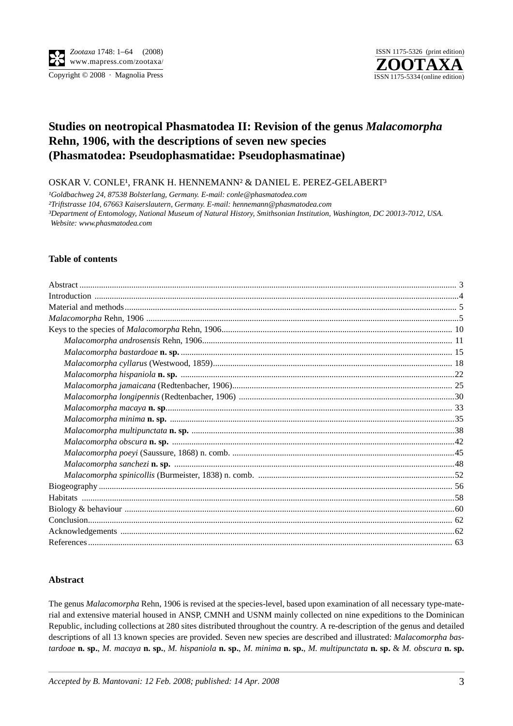Copyright © 2008 · Magnolia Press ISSN 1175-5334 (online edition)



### **Studies on neotropical Phasmatodea II: Revision of the genus** *Malacomorpha* **Rehn, 1906, with the descriptions of seven new species (Phasmatodea: Pseudophasmatidae: Pseudophasmatinae)**

OSKAR V. CONLE<sup>1</sup>, FRANK H. HENNEMANN<sup>2</sup> & DANIEL E. PEREZ-GELABERT<sup>3</sup>

<sup>1</sup>Goldbachweg 24, 87538 Bolsterlang, Germany. E-mail: conle@phasmatodea.com *²Triftstrasse 104, 67663 Kaiserslautern, Germany. E-mail: hennemann@phasmatodea.com ³Department of Entomology, National Museum of Natural History, Smithsonian Institution, Washington, DC 20013-7012, USA. Website: www.phasmatodea.com*

#### **Table of contents**

#### **Abstract**

The genus *Malacomorpha* Rehn, 1906 is revised at the species-level, based upon examination of all necessary type-material and extensive material housed in ANSP, CMNH and USNM mainly collected on nine expeditions to the Dominican Republic, including collections at 280 sites distributed throughout the country. A re-description of the genus and detailed descriptions of all 13 known species are provided. Seven new species are described and illustrated: *Malacomorpha bastardoae* **n. sp.**, *M. macaya* **n. sp.**, *M. hispaniola* **n. sp.**, *M. minima* **n. sp.**, *M. multipunctata* **n. sp.** & *M. obscura* **n. sp.**